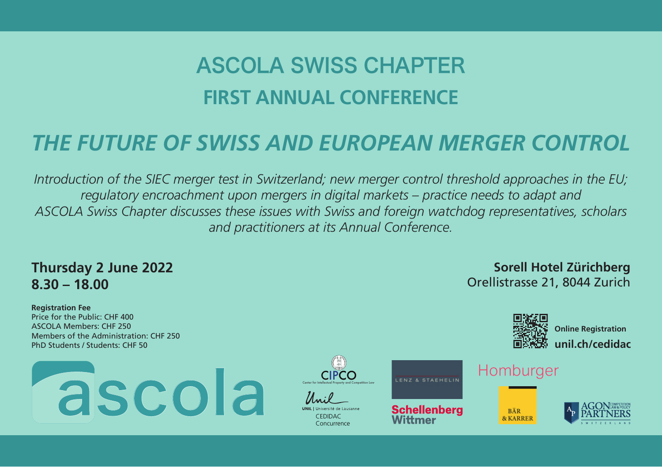# ASCOLA SWISS CHAPTER **FIRST ANNUAL CONFERENCE**

## *THE FUTURE OF SWISS AND EUROPEAN MERGER CONTROL*

*Introduction of the SIEC merger test in Switzerland; new merger control threshold approaches in the EU; regulatory encroachment upon mergers in digital markets – practice needs to adapt and ASCOLA Swiss Chapter discusses these issues with Swiss and foreign watchdog representatives, scholars and practitioners at its Annual Conference.*

#### **Thursday 2 June 2022 8.30 – 18.00**

**Registration Fee** Price for the Public: CHF 400 ASCOLA Members: CHF 250 Members of the Administration: CHF 250 PhD Students / Students: CHF 50









Wittmer

### Homburger

**BÄR** 





**Online Registration unil.ch/cedidac**

**Sorell Hotel Zürichberg** Orellistrasse 21, 8044 Zurich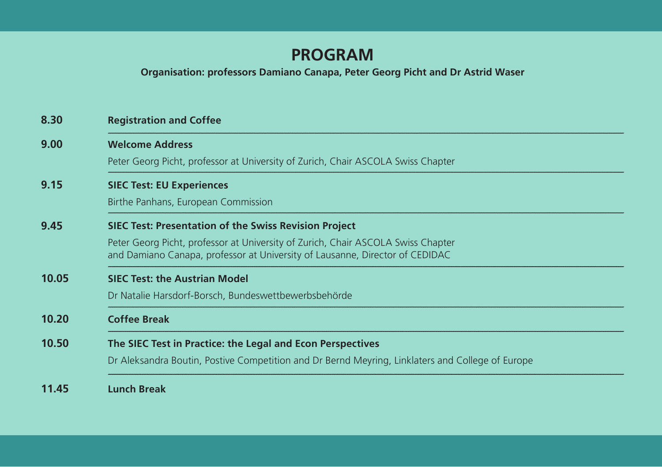## **PROGRAM**

**Organisation: professors Damiano Canapa, Peter Georg Picht and Dr Astrid Waser**

| 8.30  | <b>Registration and Coffee</b>                                                                                                                                                                                                   |
|-------|----------------------------------------------------------------------------------------------------------------------------------------------------------------------------------------------------------------------------------|
| 9.00  | <b>Welcome Address</b><br>Peter Georg Picht, professor at University of Zurich, Chair ASCOLA Swiss Chapter                                                                                                                       |
| 9.15  | <b>SIEC Test: EU Experiences</b><br>Birthe Panhans, European Commission                                                                                                                                                          |
| 9.45  | <b>SIEC Test: Presentation of the Swiss Revision Project</b><br>Peter Georg Picht, professor at University of Zurich, Chair ASCOLA Swiss Chapter<br>and Damiano Canapa, professor at University of Lausanne, Director of CEDIDAC |
| 10.05 | <b>SIEC Test: the Austrian Model</b><br>Dr Natalie Harsdorf-Borsch, Bundeswettbewerbsbehörde                                                                                                                                     |
| 10.20 | <b>Coffee Break</b>                                                                                                                                                                                                              |
| 10.50 | The SIEC Test in Practice: the Legal and Econ Perspectives<br>Dr Aleksandra Boutin, Postive Competition and Dr Bernd Meyring, Linklaters and College of Europe                                                                   |
| 11.45 | <b>Lunch Break</b>                                                                                                                                                                                                               |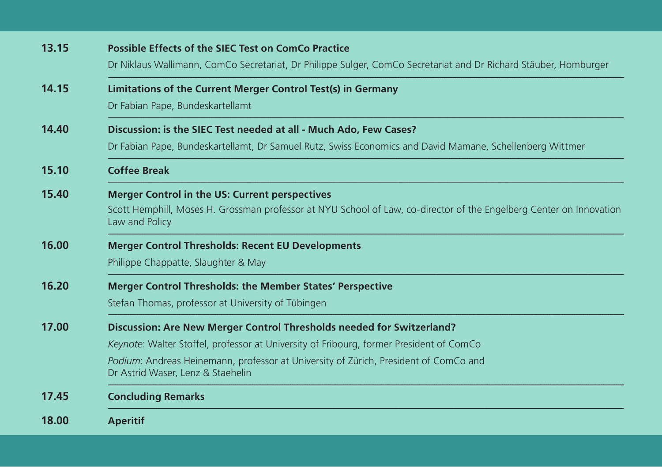| 13.15 | <b>Possible Effects of the SIEC Test on ComCo Practice</b><br>Dr Niklaus Wallimann, ComCo Secretariat, Dr Philippe Sulger, ComCo Secretariat and Dr Richard Stäuber, Homburger                                                                                                                |
|-------|-----------------------------------------------------------------------------------------------------------------------------------------------------------------------------------------------------------------------------------------------------------------------------------------------|
| 14.15 | Limitations of the Current Merger Control Test(s) in Germany<br>Dr Fabian Pape, Bundeskartellamt                                                                                                                                                                                              |
| 14.40 | Discussion: is the SIEC Test needed at all - Much Ado, Few Cases?<br>Dr Fabian Pape, Bundeskartellamt, Dr Samuel Rutz, Swiss Economics and David Mamane, Schellenberg Wittmer                                                                                                                 |
| 15.10 | <b>Coffee Break</b>                                                                                                                                                                                                                                                                           |
| 15.40 | <b>Merger Control in the US: Current perspectives</b><br>Scott Hemphill, Moses H. Grossman professor at NYU School of Law, co-director of the Engelberg Center on Innovation<br>Law and Policy                                                                                                |
| 16.00 | <b>Merger Control Thresholds: Recent EU Developments</b><br>Philippe Chappatte, Slaughter & May                                                                                                                                                                                               |
| 16.20 | <b>Merger Control Thresholds: the Member States' Perspective</b><br>Stefan Thomas, professor at University of Tübingen                                                                                                                                                                        |
| 17.00 | Discussion: Are New Merger Control Thresholds needed for Switzerland?<br>Keynote: Walter Stoffel, professor at University of Fribourg, former President of ComCo<br>Podium: Andreas Heinemann, professor at University of Zürich, President of ComCo and<br>Dr Astrid Waser, Lenz & Staehelin |
| 17.45 | <b>Concluding Remarks</b>                                                                                                                                                                                                                                                                     |
| 18.00 | <b>Aperitif</b>                                                                                                                                                                                                                                                                               |